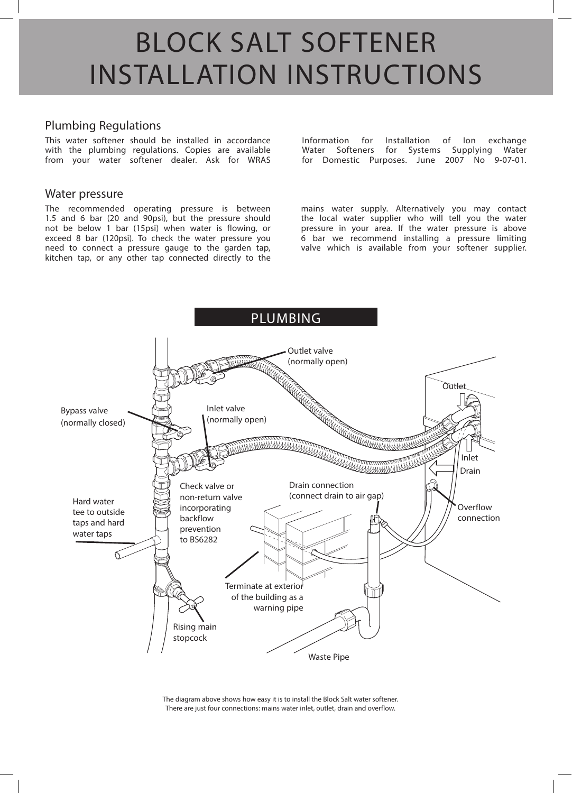# BLOCK SALT SOFTENER INSTALLATION INSTRUCTIONS

#### Plumbing Regulations

This water softener should be installed in accordance with the plumbing regulations. Copies are available from your water softener dealer. Ask for WRAS

#### Water pressure

The recommended operating pressure is between 1.5 and 6 bar (20 and 90psi), but the pressure should not be below 1 bar (15psi) when water is flowing, or exceed 8 bar (120psi). To check the water pressure you need to connect a pressure gauge to the garden tap, kitchen tap, or any other tap connected directly to the

Information for Installation of Ion exchange Water Softeners for Systems Supplying Water for Domestic Purposes. June 2007 No 9-07-01.

mains water supply. Alternatively you may contact the local water supplier who will tell you the water pressure in your area. If the water pressure is above 6 bar we recommend installing a pressure limiting valve which is available from your softener supplier.



The diagram above shows how easy it is to install the Block Salt water softener. There are just four connections: mains water inlet, outlet, drain and overflow.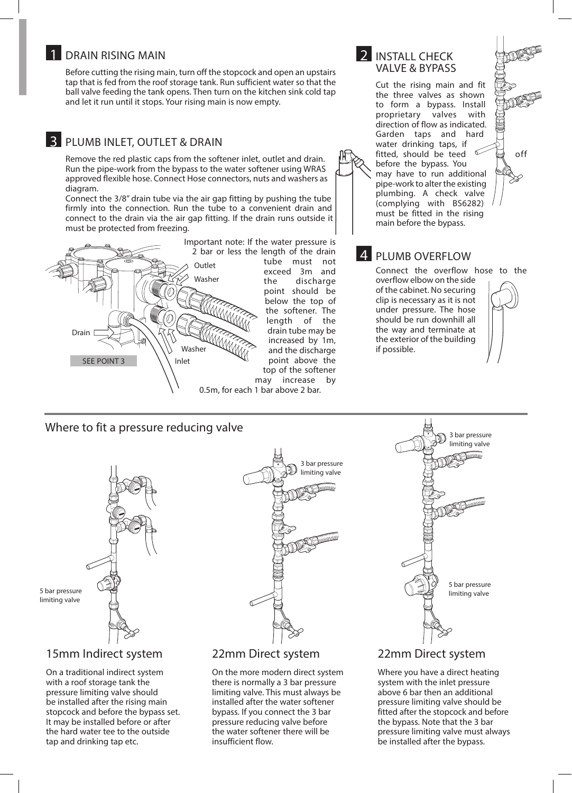#### 1 DRAIN RISING MAIN

 Before cutting the rising main, turn off the stopcock and open an upstairs tap that is fed from the roof storage tank. Run sufficient water so that the ball valve feeding the tank opens. Then turn on the kitchen sink cold tap and let it run until it stops. Your rising main is now empty.

# **3** PLUMB INLET, OUTLET & DRAIN

 Remove the red plastic caps from the softener inlet, outlet and drain. Run the pipe-work from the bypass to the water softener using WRAS approved flexible hose. Connect Hose connectors, nuts and washers as diagram.

 Connect the 3/8" drain tube via the air gap fitting by pushing the tube firmly into the connection. Run the tube to a convenient drain and connect to the drain via the air gap fitting. If the drain runs outside it must be protected from freezing.



tube must not exceed 3m and the discharge point should be below the top of the softener. The length of the drain tube may be increased by 1m, and the discharge point above the top of the softener may increase by

0.5m, for each 1 bar above 2 bar.

#### 2 **INSTALL CHECK** VALVE & BYPASS

 Cut the rising main and fit the three valves as shown to form a bypass. Install proprietary valves with direction of flow as indicated. Garden taps and hard water drinking taps, if fitted, should be teed  $\sqrt{a}$  off before the bypass. You may have to run additional pipe-work to alter the existing plumbing. A check valve (complying with BS6282) must be fitted in the rising main before the bypass.

# **4 PLUMB OVERFLOW**

 Connect the overflow hose to the overflow elbow on the side of the cabinet. No securing clip is necessary as it is not under pressure. The hose should be run downhill all the way and terminate at the exterior of the building if possible.

# Where to fit a pressure reducing valve  $\mathbb{R}$  3 bar pressure



# 15mm Indirect system

On a traditional indirect system with a roof storage tank the pressure limiting valve should be installed after the rising main stopcock and before the bypass set. It may be installed before or after the hard water tee to the outside tap and drinking tap etc.



#### 22mm Direct system

On the more modern direct system there is normally a 3 bar pressure limiting valve. This must always be installed after the water softener bypass. If you connect the 3 bar pressure reducing valve before the water softener there will be insufficient flow.



#### 22mm Direct system

Where you have a direct heating system with the inlet pressure above 6 bar then an additional pressure limiting valve should be fitted after the stopcock and before the bypass. Note that the 3 bar pressure limiting valve must always be installed after the bypass.

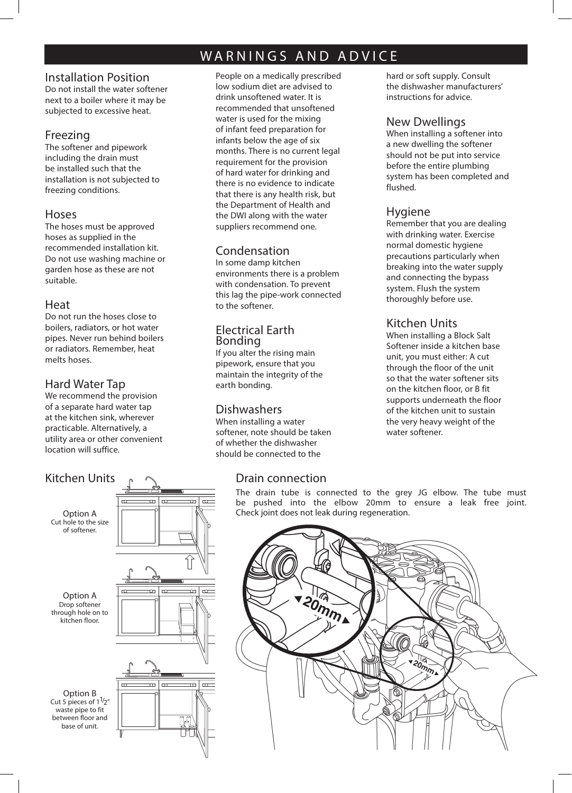# WARNINGS AND ADVICE

#### Installation Position

Do not install the water softener next to a boiler where it may be subjected to excessive heat.

#### Freezing

The softener and pipework including the drain must be installed such that the installation is not subjected to freezing conditions.

#### Hoses

The hoses must be approved hoses as supplied in the recommended installation kit. Do not use washing machine or garden hose as these are not suitable.

#### Heat

Do not run the hoses close to boilers, radiators, or hot water pipes. Never run behind boilers or radiators. Remember, heat melts hoses.

# Hard Water Tap

We recommend the provision of a separate hard water tap at the kitchen sink, wherever practicable. Alternatively, a utility area or other convenient location will suffice.



People on a medically prescribed low sodium diet are advised to drink unsoftened water. It is recommended that unsoftened water is used for the mixing of infant feed preparation for infants below the age of six months. There is no current legal requirement for the provision of hard water for drinking and there is no evidence to indicate that there is any health risk, but the Department of Health and the DWI along with the water suppliers recommend one.

# Condensation

In some damp kitchen environments there is a problem with condensation. To prevent this lag the pipe-work connected to the softener.

#### Electrical Earth Bonding

If you alter the rising main pipework, ensure that you maintain the integrity of the earth bonding.

# **Dishwashers**

When installing a water softener, note should be taken of whether the dishwasher should be connected to the

# Drain connection

hard or soft supply. Consult the dishwasher manufacturers' instructions for advice.

#### New Dwellings

When installing a softener into a new dwelling the softener should not be put into service before the entire plumbing system has been completed and flushed.

#### Hygiene

Remember that you are dealing with drinking water. Exercise normal domestic hygiene precautions particularly when breaking into the water supply and connecting the bypass system. Flush the system thoroughly before use.

# Kitchen Units

When installing a Block Salt Softener inside a kitchen base unit, you must either: A cut through the floor of the unit so that the water softener sits on the kitchen floor, or B fit supports underneath the floor of the kitchen unit to sustain the very heavy weight of the water softener.

The drain tube is connected to the grey JG elbow. The tube must be pushed into the elbow 20mm to ensure a leak free joint. Check joint does not leak during regeneration.